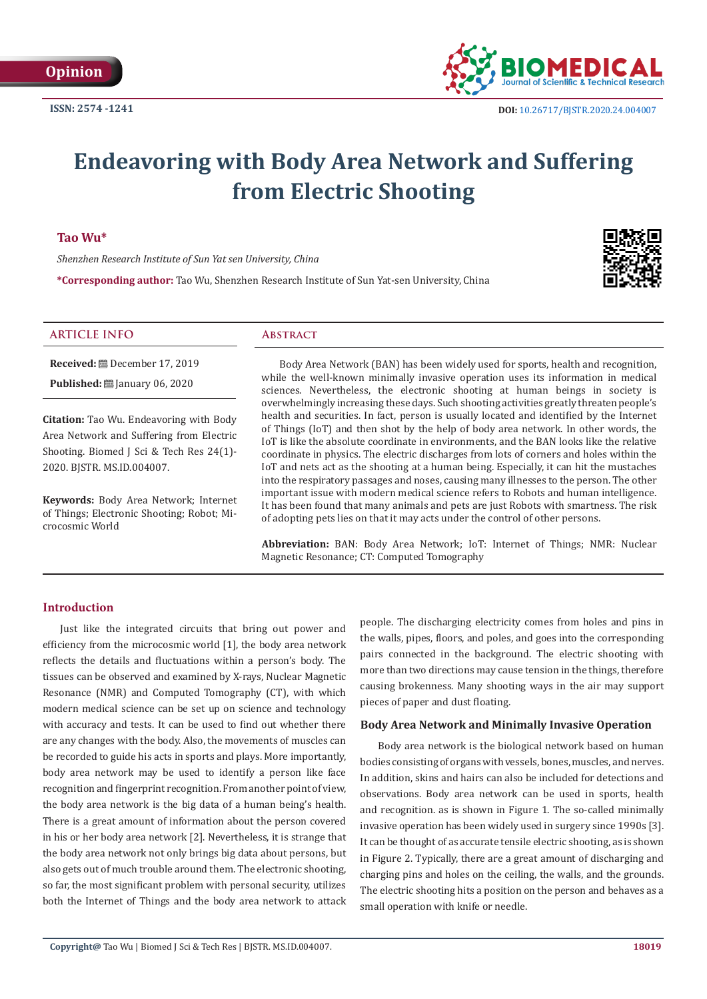

# **Endeavoring with Body Area Network and Suffering from Electric Shooting**

# **Tao Wu\***

*Shenzhen Research Institute of Sun Yat sen University, China*

**\*Corresponding author:** Tao Wu, Shenzhen Research Institute of Sun Yat-sen University, China



#### **ARTICLE INFO Abstract**

**Received:** December 17, 2019 **Published:** ■ January 06, 2020

**Citation:** Tao Wu. Endeavoring with Body Area Network and Suffering from Electric Shooting. Biomed J Sci & Tech Res 24(1)-2020. BJSTR. MS.ID.004007.

**Keywords:** Body Area Network; Internet of Things; Electronic Shooting; Robot; Microcosmic World

Body Area Network (BAN) has been widely used for sports, health and recognition, while the well-known minimally invasive operation uses its information in medical sciences. Nevertheless, the electronic shooting at human beings in society is overwhelmingly increasing these days. Such shooting activities greatly threaten people's health and securities. In fact, person is usually located and identified by the Internet of Things (IoT) and then shot by the help of body area network. In other words, the IoT is like the absolute coordinate in environments, and the BAN looks like the relative coordinate in physics. The electric discharges from lots of corners and holes within the IoT and nets act as the shooting at a human being. Especially, it can hit the mustaches into the respiratory passages and noses, causing many illnesses to the person. The other important issue with modern medical science refers to Robots and human intelligence. It has been found that many animals and pets are just Robots with smartness. The risk of adopting pets lies on that it may acts under the control of other persons.

**Abbreviation:** BAN: Body Area Network; IoT: Internet of Things; NMR: Nuclear Magnetic Resonance; CT: Computed Tomography

# **Introduction**

Just like the integrated circuits that bring out power and efficiency from the microcosmic world [1], the body area network reflects the details and fluctuations within a person's body. The tissues can be observed and examined by X-rays, Nuclear Magnetic Resonance (NMR) and Computed Tomography (CT), with which modern medical science can be set up on science and technology with accuracy and tests. It can be used to find out whether there are any changes with the body. Also, the movements of muscles can be recorded to guide his acts in sports and plays. More importantly, body area network may be used to identify a person like face recognition and fingerprint recognition. From another point of view, the body area network is the big data of a human being's health. There is a great amount of information about the person covered in his or her body area network [2]. Nevertheless, it is strange that the body area network not only brings big data about persons, but also gets out of much trouble around them. The electronic shooting, so far, the most significant problem with personal security, utilizes both the Internet of Things and the body area network to attack people. The discharging electricity comes from holes and pins in the walls, pipes, floors, and poles, and goes into the corresponding pairs connected in the background. The electric shooting with more than two directions may cause tension in the things, therefore causing brokenness. Many shooting ways in the air may support pieces of paper and dust floating.

#### **Body Area Network and Minimally Invasive Operation**

Body area network is the biological network based on human bodies consisting of organs with vessels, bones, muscles, and nerves. In addition, skins and hairs can also be included for detections and observations. Body area network can be used in sports, health and recognition. as is shown in Figure 1. The so-called minimally invasive operation has been widely used in surgery since 1990s [3]. It can be thought of as accurate tensile electric shooting, as is shown in Figure 2. Typically, there are a great amount of discharging and charging pins and holes on the ceiling, the walls, and the grounds. The electric shooting hits a position on the person and behaves as a small operation with knife or needle.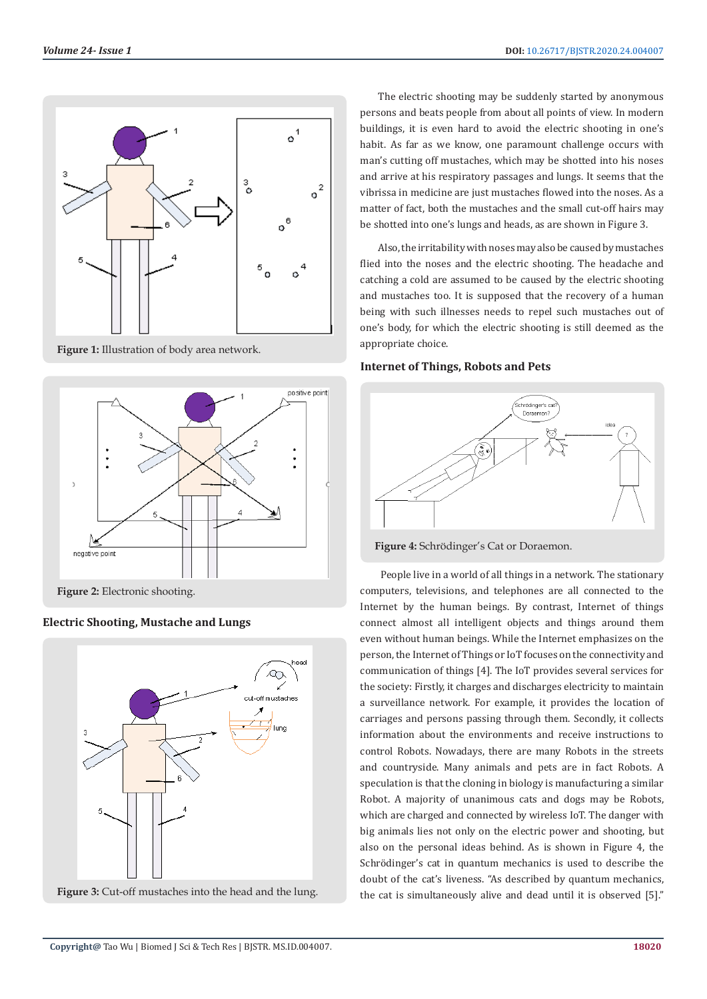

**Figure 1:** Illustration of body area network.



**Electric Shooting, Mustache and Lungs** 



Figure 3: Cut-off mustaches into the head and the lung.

The electric shooting may be suddenly started by anonymous persons and beats people from about all points of view. In modern buildings, it is even hard to avoid the electric shooting in one's habit. As far as we know, one paramount challenge occurs with man's cutting off mustaches, which may be shotted into his noses and arrive at his respiratory passages and lungs. It seems that the vibrissa in medicine are just mustaches flowed into the noses. As a matter of fact, both the mustaches and the small cut-off hairs may be shotted into one's lungs and heads, as are shown in Figure 3.

Also, the irritability with noses may also be caused by mustaches flied into the noses and the electric shooting. The headache and catching a cold are assumed to be caused by the electric shooting and mustaches too. It is supposed that the recovery of a human being with such illnesses needs to repel such mustaches out of one's body, for which the electric shooting is still deemed as the appropriate choice.

# **Internet of Things, Robots and Pets**



**Figure 4:** Schrödinger's Cat or Doraemon.

 People live in a world of all things in a network. The stationary computers, televisions, and telephones are all connected to the Internet by the human beings. By contrast, Internet of things connect almost all intelligent objects and things around them even without human beings. While the Internet emphasizes on the person, the Internet of Things or IoT focuses on the connectivity and communication of things [4]. The IoT provides several services for the society: Firstly, it charges and discharges electricity to maintain a surveillance network. For example, it provides the location of carriages and persons passing through them. Secondly, it collects information about the environments and receive instructions to control Robots. Nowadays, there are many Robots in the streets and countryside. Many animals and pets are in fact Robots. A speculation is that the cloning in biology is manufacturing a similar Robot. A majority of unanimous cats and dogs may be Robots, which are charged and connected by wireless IoT. The danger with big animals lies not only on the electric power and shooting, but also on the personal ideas behind. As is shown in Figure 4, the Schrödinger's cat in quantum mechanics is used to describe the doubt of the cat's liveness. "As described by quantum mechanics, the cat is simultaneously alive and dead until it is observed [5]."